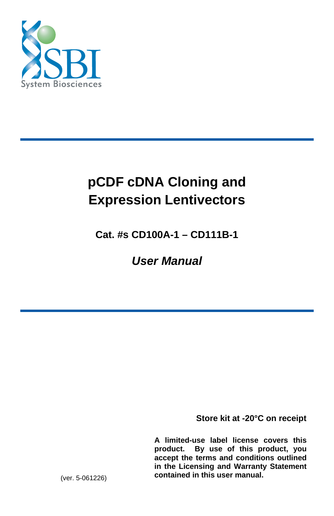

# **pCDF cDNA Cloning and Expression Lentivectors**

**Cat. #s CD100A-1 – CD111B-1** 

*User Manual* 

**Store kit at -20°C on receipt** 

**A limited-use label license covers this product. By use of this product, you accept the terms and conditions outlined in the Licensing and Warranty Statement contained in this user manual.** 

(ver. 5-061226)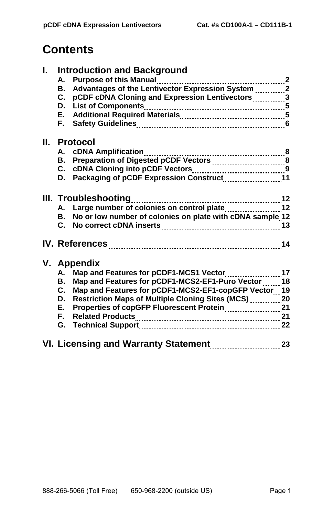## **Contents**

| L. |              | <b>Introduction and Background</b>                           |    |
|----|--------------|--------------------------------------------------------------|----|
|    |              |                                                              |    |
|    | В.           | Advantages of the Lentivector Expression System2             |    |
|    | C.           | pCDF cDNA Cloning and Expression Lentivectors3               |    |
|    |              |                                                              |    |
|    |              |                                                              |    |
|    |              |                                                              |    |
|    | II. Protocol |                                                              |    |
|    |              | A. cDNA Amplification                                        |    |
|    |              |                                                              |    |
|    |              |                                                              |    |
|    |              | D. Packaging of pCDF Expression Construct11                  |    |
|    |              |                                                              |    |
|    |              | III. Troubleshooting                                         |    |
|    |              |                                                              |    |
|    |              | B. No or low number of colonies on plate with cDNA sample 12 |    |
|    |              |                                                              |    |
|    |              |                                                              |    |
|    |              |                                                              |    |
|    |              |                                                              |    |
|    | V. Appendix  |                                                              |    |
|    | А.           | Map and Features for pCDF1-MCS1 Vector17                     |    |
|    | В.           | Map and Features for pCDF1-MCS2-EF1-Puro Vector 18           |    |
|    | C.           | Map and Features for pCDF1-MCS2-EF1-copGFP Vector 19         |    |
|    |              | D. Restriction Maps of Multiple Cloning Sites (MCS)20        |    |
|    |              |                                                              |    |
|    | F.           |                                                              |    |
|    |              |                                                              |    |
|    |              |                                                              |    |
|    |              | VI. Licensing and Warranty Statement                         | 23 |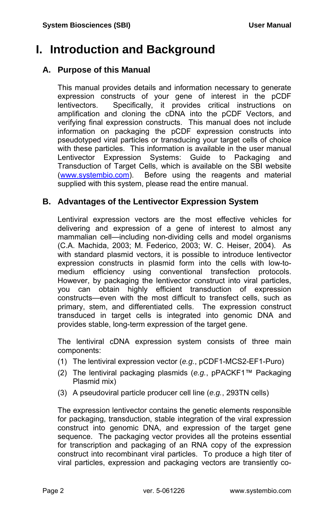## **I. Introduction and Background**

## **A. Purpose of this Manual**

This manual provides details and information necessary to generate expression constructs of your gene of interest in the pCDF lentivectors. Specifically, it provides critical instructions on amplification and cloning the cDNA into the pCDF Vectors, and verifying final expression constructs. This manual does not include information on packaging the pCDF expression constructs into pseudotyped viral particles or transducing your target cells of choice with these particles. This information is available in the user manual Lentivector Expression Systems: Guide to Packaging and Transduction of Target Cells, which is available on the SBI website [\(www.systembio.com](http://www.systembio.com/)). Before using the reagents and material supplied with this system, please read the entire manual.

## **B. Advantages of the Lentivector Expression System**

Lentiviral expression vectors are the most effective vehicles for delivering and expression of a gene of interest to almost any mammalian cell—including non-dividing cells and model organisms (C.A. Machida, 2003; M. Federico, 2003; W. C. Heiser, 2004). As with standard plasmid vectors, it is possible to introduce lentivector expression constructs in plasmid form into the cells with low-tomedium efficiency using conventional transfection protocols. However, by packaging the lentivector construct into viral particles, you can obtain highly efficient transduction of expression constructs—even with the most difficult to transfect cells, such as primary, stem, and differentiated cells. The expression construct transduced in target cells is integrated into genomic DNA and provides stable, long-term expression of the target gene.

The lentiviral cDNA expression system consists of three main components:

- (1) The lentiviral expression vector (*e.g.*, pCDF1-MCS2-EF1-Puro)
- (2) The lentiviral packaging plasmids (*e.g.*, pPACKF1™ Packaging Plasmid mix)
- (3) A pseudoviral particle producer cell line (*e.g.*, 293TN cells)

The expression lentivector contains the genetic elements responsible for packaging, transduction, stable integration of the viral expression construct into genomic DNA, and expression of the target gene sequence. The packaging vector provides all the proteins essential for transcription and packaging of an RNA copy of the expression construct into recombinant viral particles. To produce a high titer of viral particles, expression and packaging vectors are transiently co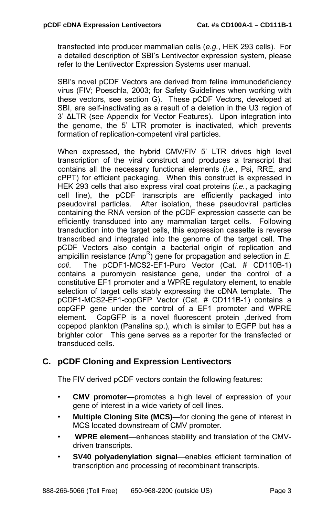transfected into producer mammalian cells (*e.g.*, HEK 293 cells). For a detailed description of SBI's Lentivector expression system, please refer to the Lentivector Expression Systems user manual.

SBI's novel pCDF Vectors are derived from feline immunodeficiency virus (FIV; Poeschla, 2003; for Safety Guidelines when working with these vectors, see section G). These pCDF Vectors, developed at SBI, are self-inactivating as a result of a deletion in the U3 region of 3' ΔLTR (see Appendix for Vector Features). Upon integration into the genome, the 5' LTR promoter is inactivated, which prevents formation of replication-competent viral particles.

When expressed, the hybrid CMV/FIV 5' LTR drives high level transcription of the viral construct and produces a transcript that contains all the necessary functional elements (*i.e.*, Psi, RRE, and cPPT) for efficient packaging. When this construct is expressed in HEK 293 cells that also express viral coat proteins (*i.e.*, a packaging cell line), the pCDF transcripts are efficiently packaged into pseudoviral particles. After isolation, these pseudoviral particles containing the RNA version of the pCDF expression cassette can be efficiently transduced into any mammalian target cells. Following transduction into the target cells, this expression cassette is reverse transcribed and integrated into the genome of the target cell. The pCDF Vectors also contain a bacterial origin of replication and ampicillin resistance (Amp<sup>R</sup>) gene for propagation and selection in *E. coli*. The pCDF1-MCS2-EF1-Puro Vector (Cat. # CD110B-1) contains a puromycin resistance gene, under the control of a constitutive EF1 promoter and a WPRE regulatory element, to enable selection of target cells stably expressing the cDNA template. The pCDF1-MCS2-EF1-copGFP Vector (Cat. # CD111B-1) contains a copGFP gene under the control of a EF1 promoter and WPRE element. CopGFP is a novel fluorescent protein ,derived from copepod plankton (Panalina sp.), which is similar to EGFP but has a brighter color This gene serves as a reporter for the transfected or transduced cells.

## **C. pCDF Cloning and Expression Lentivectors**

The FIV derived pCDF vectors contain the following features:

- **CMV promoter—**promotes a high level of expression of your gene of interest in a wide variety of cell lines.
- **Multiple Cloning Site (MCS)—for cloning the gene of interest in** MCS located downstream of CMV promoter.
- **WPRE element**—enhances stability and translation of the CMVdriven transcripts.
- **SV40 polyadenylation signal**—enables efficient termination of transcription and processing of recombinant transcripts.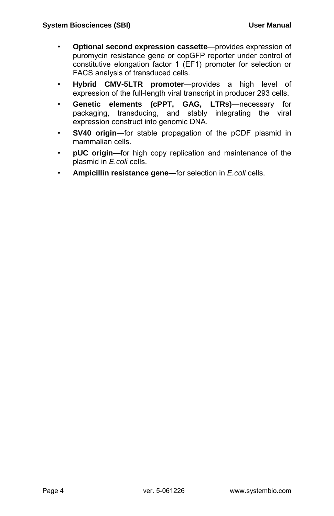- **Optional second expression cassette**—provides expression of puromycin resistance gene or copGFP reporter under control of constitutive elongation factor 1 (EF1) promoter for selection or FACS analysis of transduced cells.
- **Hybrid CMV-5LTR promoter**—provides a high level of expression of the full-length viral transcript in producer 293 cells.
- **Genetic elements (cPPT, GAG, LTRs)**—necessary for packaging, transducing, and stably integrating the viral expression construct into genomic DNA.
- **SV40 origin**—for stable propagation of the pCDF plasmid in mammalian cells.
- **pUC origin**—for high copy replication and maintenance of the plasmid in *E.coli* cells.
- **Ampicillin resistance gene**—for selection in *E.coli* cells.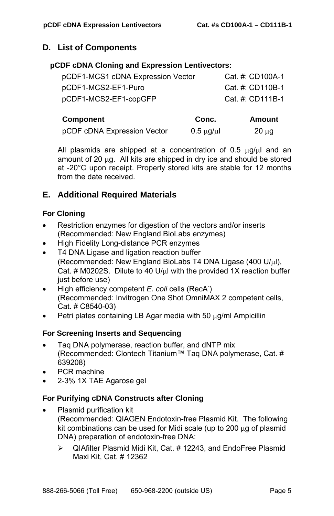## **D. List of Components**

#### **pCDF cDNA Cloning and Expression Lentivectors:**

| Component                         | Conc. | <b>Amount</b>    |
|-----------------------------------|-------|------------------|
| pCDF1-MCS2-EF1-copGFP             |       | Cat. #: CD111B-1 |
| pCDF1-MCS2-EF1-Puro               |       | Cat. #: CD110B-1 |
| pCDF1-MCS1 cDNA Expression Vector |       | Cat. #: CD100A-1 |

| pCDF cDNA Expression Vector | $0.5 \mu g/\mu l$ | $20 \mu g$ |
|-----------------------------|-------------------|------------|

All plasmids are shipped at a concentration of 0.5  $\mu$ g/ $\mu$ l and an amount of 20 μg. All kits are shipped in dry ice and should be stored at -20°C upon receipt. Properly stored kits are stable for 12 months from the date received.

## **E. Additional Required Materials**

### **For Cloning**

- Restriction enzymes for digestion of the vectors and/or inserts (Recommended: New England BioLabs enzymes)
- High Fidelity Long-distance PCR enzymes
- T4 DNA Ligase and ligation reaction buffer (Recommended: New England BioLabs T4 DNA Ligase (400 U/μl), Cat. # M0202S. Dilute to 40 U/μl with the provided 1X reaction buffer just before use)
- High efficiency competent *E. coli* cells (RecA<sup>-</sup>) (Recommended: Invitrogen One Shot OmniMAX 2 competent cells, Cat. # C8540-03)
- Petri plates containing LB Agar media with 50 μg/ml Ampicillin

## **For Screening Inserts and Sequencing**

- Taq DNA polymerase, reaction buffer, and dNTP mix (Recommended: Clontech Titanium™ Taq DNA polymerase, Cat. # 639208)
- PCR machine
- 2-3% 1X TAE Agarose gel

## **For Purifying cDNA Constructs after Cloning**

- Plasmid purification kit (Recommended: QIAGEN Endotoxin-free Plasmid Kit. The following kit combinations can be used for Midi scale (up to 200  $\mu$ g of plasmid DNA) preparation of endotoxin-free DNA:
	- $\triangleright$  QIAfilter Plasmid Midi Kit, Cat. # 12243, and EndoFree Plasmid Maxi Kit, Cat. # 12362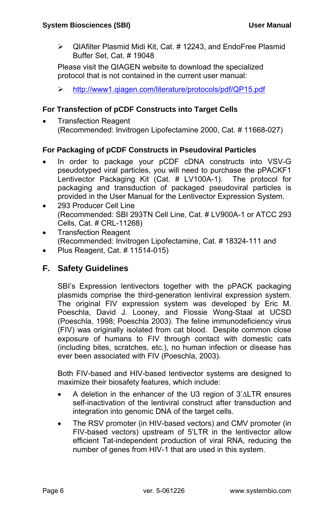$\triangleright$  QIAfilter Plasmid Midi Kit, Cat. # 12243, and EndoFree Plasmid Buffer Set, Cat. # 19048

Please visit the QIAGEN website to download the specialized protocol that is not contained in the current user manual:

¾ <http://www1.qiagen.com/literature/protocols/pdf/QP15.pdf>

## **For Transfection of pCDF Constructs into Target Cells**

• Transfection Reagent (Recommended: Invitrogen Lipofectamine 2000, Cat. # 11668-027)

## **For Packaging of pCDF Constructs in Pseudoviral Particles**

- In order to package your pCDF cDNA constructs into VSV-G pseudotyped viral particles, you will need to purchase the pPACKF1 Lentivector Packaging Kit (Cat. # LV100A-1). The protocol for packaging and transduction of packaged pseudoviral particles is provided in the User Manual for the Lentivector Expression System.
- 293 Producer Cell Line (Recommended: SBI 293TN Cell Line, Cat. # LV900A-1 or ATCC 293 Cells, Cat. # CRL-11268)
- Transfection Reagent (Recommended: Invitrogen Lipofectamine, Cat. # 18324-111 and
- Plus Reagent, Cat. # 11514-015)

## **F. Safety Guidelines**

SBI's Expression lentivectors together with the pPACK packaging plasmids comprise the third-generation lentiviral expression system. The original FIV expression system was developed by Eric M. Poeschla, David J. Looney, and Flossie Wong-Staal at UCSD (Poeschla, 1998; Poeschla 2003). The feline immunodeficiency virus (FIV) was originally isolated from cat blood. Despite common close exposure of humans to FIV through contact with domestic cats (including bites, scratches, etc.), no human infection or disease has ever been associated with FIV (Poeschla, 2003).

Both FIV-based and HIV-based lentivector systems are designed to maximize their biosafety features, which include:

- A deletion in the enhancer of the U3 region of 3'ΔLTR ensures self-inactivation of the lentiviral construct after transduction and integration into genomic DNA of the target cells.
- The RSV promoter (in HIV-based vectors) and CMV promoter (in FIV-based vectors) upstream of 5'LTR in the lentivector allow efficient Tat-independent production of viral RNA, reducing the number of genes from HIV-1 that are used in this system.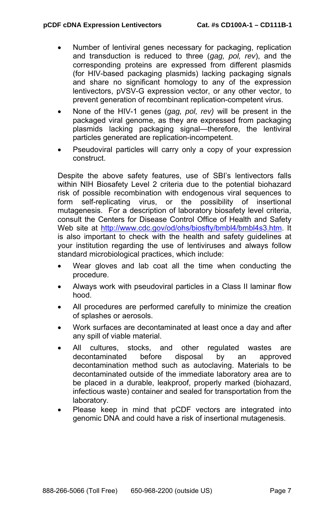- Number of lentiviral genes necessary for packaging, replication and transduction is reduced to three (*gag, pol, rev*), and the corresponding proteins are expressed from different plasmids (for HIV-based packaging plasmids) lacking packaging signals and share no significant homology to any of the expression lentivectors, pVSV-G expression vector, or any other vector, to prevent generation of recombinant replication-competent virus.
- None of the HIV-1 genes (*gag, pol, rev)* will be present in the packaged viral genome, as they are expressed from packaging plasmids lacking packaging signal—therefore, the lentiviral particles generated are replication-incompetent.
- Pseudoviral particles will carry only a copy of your expression construct.

Despite the above safety features, use of SBI's lentivectors falls within NIH Biosafety Level 2 criteria due to the potential biohazard risk of possible recombination with endogenous viral sequences to form self-replicating virus, or the possibility of insertional mutagenesis. For a description of laboratory biosafety level criteria, consult the Centers for Disease Control Office of Health and Safety Web site at <http://www.cdc.gov/od/ohs/biosfty/bmbl4/bmbl4s3.htm>. It is also important to check with the health and safety guidelines at your institution regarding the use of lentiviruses and always follow standard microbiological practices, which include:

- Wear gloves and lab coat all the time when conducting the procedure.
- Always work with pseudoviral particles in a Class II laminar flow hood.
- All procedures are performed carefully to minimize the creation of splashes or aerosols.
- Work surfaces are decontaminated at least once a day and after any spill of viable material.
- All cultures, stocks, and other regulated wastes are decontaminated before disposal by an approved decontamination method such as autoclaving. Materials to be decontaminated outside of the immediate laboratory area are to be placed in a durable, leakproof, properly marked (biohazard, infectious waste) container and sealed for transportation from the laboratory.
- Please keep in mind that pCDF vectors are integrated into genomic DNA and could have a risk of insertional mutagenesis.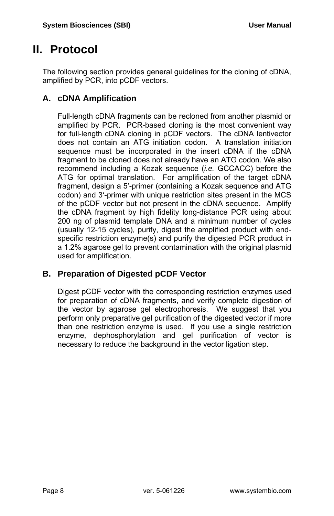## **II. Protocol**

The following section provides general guidelines for the cloning of cDNA, amplified by PCR, into pCDF vectors.

## **A. cDNA Amplification**

Full-length cDNA fragments can be recloned from another plasmid or amplified by PCR. PCR-based cloning is the most convenient way for full-length cDNA cloning in pCDF vectors. The cDNA lentivector does not contain an ATG initiation codon. A translation initiation sequence must be incorporated in the insert cDNA if the cDNA fragment to be cloned does not already have an ATG codon. We also recommend including a Kozak sequence (*i.e.* GCCACC) before the ATG for optimal translation. For amplification of the target cDNA fragment, design a 5'-primer (containing a Kozak sequence and ATG codon) and 3'-primer with unique restriction sites present in the MCS of the pCDF vector but not present in the cDNA sequence. Amplify the cDNA fragment by high fidelity long-distance PCR using about 200 ng of plasmid template DNA and a minimum number of cycles (usually 12-15 cycles), purify, digest the amplified product with endspecific restriction enzyme(s) and purify the digested PCR product in a 1.2% agarose gel to prevent contamination with the original plasmid used for amplification.

## **B. Preparation of Digested pCDF Vector**

Digest pCDF vector with the corresponding restriction enzymes used for preparation of cDNA fragments, and verify complete digestion of the vector by agarose gel electrophoresis. We suggest that you perform only preparative gel purification of the digested vector if more than one restriction enzyme is used. If you use a single restriction enzyme, dephosphorylation and gel purification of vector is necessary to reduce the background in the vector ligation step.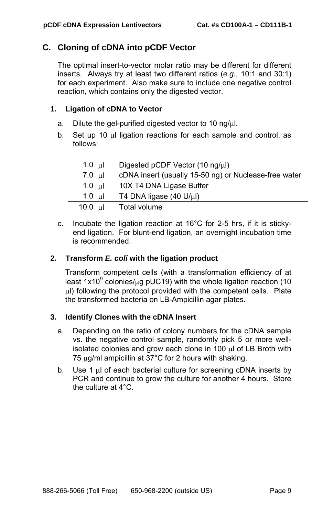## **C. Cloning of cDNA into pCDF Vector**

The optimal insert-to-vector molar ratio may be different for different inserts. Always try at least two different ratios (*e.g.*, 10:1 and 30:1) for each experiment. Also make sure to include one negative control reaction, which contains only the digested vector.

### **1. Ligation of cDNA to Vector**

- a. Dilute the gel-purified digested vector to 10 ng/μl.
- b. Set up 10 μl ligation reactions for each sample and control, as follows:

| 1.0 ul     | Digested pCDF Vector (10 ng/µl)                       |
|------------|-------------------------------------------------------|
| 7.0 ul     | cDNA insert (usually 15-50 ng) or Nuclease-free water |
| 1.0 ul     | 10X T4 DNA Ligase Buffer                              |
| 1.0 ul     | T4 DNA ligase $(40 \text{ U/}\mu\text{I})$            |
| 10.0 $\mu$ | Total volume                                          |

c. Incubate the ligation reaction at 16°C for 2-5 hrs, if it is stickyend ligation. For blunt-end ligation, an overnight incubation time is recommended.

#### **2. Transform** *E. coli* **with the ligation product**

Transform competent cells (with a transformation efficiency of at least 1x10<sup>9</sup> colonies/µg pUC19) with the whole ligation reaction (10 μl) following the protocol provided with the competent cells. Plate the transformed bacteria on LB-Ampicillin agar plates.

#### **3. Identify Clones with the cDNA Insert**

- a. Depending on the ratio of colony numbers for the cDNA sample vs. the negative control sample, randomly pick 5 or more wellisolated colonies and grow each clone in 100 μl of LB Broth with 75  $\mu$ g/ml ampicillin at 37°C for 2 hours with shaking.
- b. Use 1 μl of each bacterial culture for screening cDNA inserts by PCR and continue to grow the culture for another 4 hours. Store the culture at 4°C.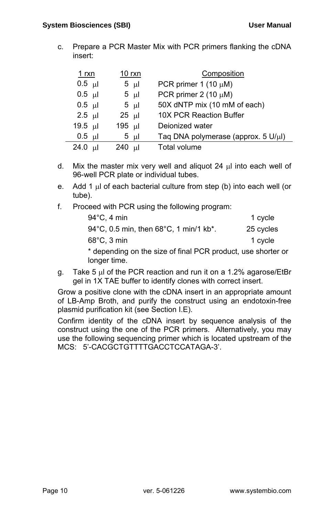c. Prepare a PCR Master Mix with PCR primers flanking the cDNA insert:

| 1 rxn             | $10$ rxn        | Composition                         |
|-------------------|-----------------|-------------------------------------|
| $0.5$ µl          | 5 ul            | PCR primer 1 (10 $\mu$ M)           |
| $0.5 \text{ \mu}$ | $5 \text{ ul}$  | PCR primer $2(10 \mu M)$            |
| $0.5$ ul          | 5 <sub>µ</sub>  | 50X dNTP mix (10 mM of each)        |
| $2.5$ ul          | $25 \text{ ul}$ | 10X PCR Reaction Buffer             |
| 19.5 $\mu$        | 195 µl          | Deionized water                     |
| $0.5$ ul          | $5 \mu$         | Taq DNA polymerase (approx. 5 U/µl) |
| 24.0 $\mu$        | 240 µl          | Total volume                        |

- d. Mix the master mix very well and aliquot 24 μl into each well of 96-well PCR plate or individual tubes.
- e. Add 1 μl of each bacterial culture from step (b) into each well (or tube).
- f. Proceed with PCR using the following program:

| $94^{\circ}$ C, 4 min                                                        | 1 cycle   |
|------------------------------------------------------------------------------|-----------|
| 94°C, 0.5 min, then 68°C, 1 min/1 kb*.                                       | 25 cycles |
| $68^{\circ}$ C, 3 min                                                        | 1 cycle   |
| * depending on the size of final PCR product, use shorter or<br>longer time. |           |

g. Take 5 μl of the PCR reaction and run it on a 1.2% agarose/EtBr gel in 1X TAE buffer to identify clones with correct insert.

Grow a positive clone with the cDNA insert in an appropriate amount of LB-Amp Broth, and purify the construct using an endotoxin-free plasmid purification kit (see Section I.E).

Confirm identity of the cDNA insert by sequence analysis of the construct using the one of the PCR primers. Alternatively, you may use the following sequencing primer which is located upstream of the MCS: 5'-CACGCTGTTTTGACCTCCATAGA-3'.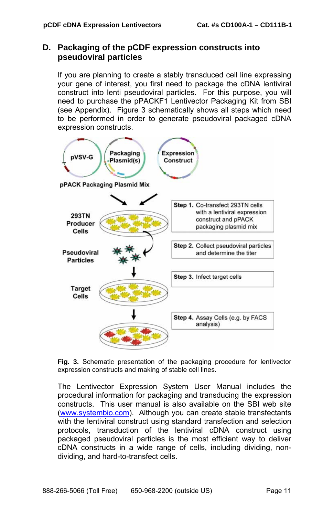### **D. Packaging of the pCDF expression constructs into pseudoviral particles**

If you are planning to create a stably transduced cell line expressing your gene of interest, you first need to package the cDNA lentiviral construct into lenti pseudoviral particles. For this purpose, you will need to purchase the pPACKF1 Lentivector Packaging Kit from SBI (see Appendix). Figure 3 schematically shows all steps which need to be performed in order to generate pseudoviral packaged cDNA expression constructs.



**Fig. 3.** Schematic presentation of the packaging procedure for lentivector expression constructs and making of stable cell lines.

The Lentivector Expression System User Manual includes the procedural information for packaging and transducing the expression constructs. This user manual is also available on the SBI web site [\(www.systembio.com](http://www.systembio.com/)). Although you can create stable transfectants with the lentiviral construct using standard transfection and selection protocols, transduction of the lentiviral cDNA construct using packaged pseudoviral particles is the most efficient way to deliver cDNA constructs in a wide range of cells, including dividing, nondividing, and hard-to-transfect cells.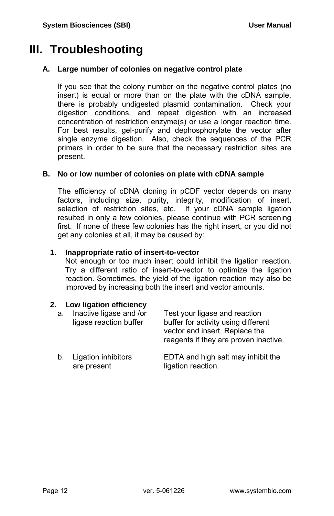## **III. Troubleshooting**

#### **A. Large number of colonies on negative control plate**

If you see that the colony number on the negative control plates (no insert) is equal or more than on the plate with the cDNA sample, there is probably undigested plasmid contamination. Check your digestion conditions, and repeat digestion with an increased concentration of restriction enzyme(s) or use a longer reaction time. For best results, gel-purify and dephosphorylate the vector after single enzyme digestion. Also, check the sequences of the PCR primers in order to be sure that the necessary restriction sites are present.

#### **B. No or low number of colonies on plate with cDNA sample**

The efficiency of cDNA cloning in pCDF vector depends on many factors, including size, purity, integrity, modification of insert, selection of restriction sites, etc. If your cDNA sample ligation resulted in only a few colonies, please continue with PCR screening first. If none of these few colonies has the right insert, or you did not get any colonies at all, it may be caused by:

#### **1. Inappropriate ratio of insert-to-vector**

Not enough or too much insert could inhibit the ligation reaction. Try a different ratio of insert-to-vector to optimize the ligation reaction. Sometimes, the yield of the ligation reaction may also be improved by increasing both the insert and vector amounts.

#### **2. Low ligation efficiency**

| a. | Inactive ligase and /or<br>ligase reaction buffer | Test your ligase and reaction<br>buffer for activity using different<br>vector and insert. Replace the<br>reagents if they are proven inactive. |
|----|---------------------------------------------------|-------------------------------------------------------------------------------------------------------------------------------------------------|
| b. | Ligation inhibitors<br>are present                | EDTA and high salt may inhibit the<br>ligation reaction.                                                                                        |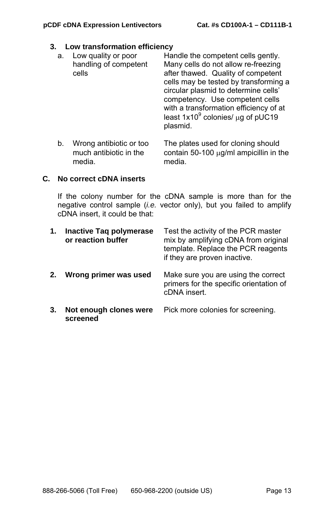#### **3. Low transformation efficiency**

| а. | Low quality or poor<br>handling of competent<br>cells | Handle the competent cells gently.<br>Many cells do not allow re-freezing<br>after thawed. Quality of competent<br>cells may be tested by transforming a<br>circular plasmid to determine cells'<br>competency. Use competent cells<br>with a transformation efficiency of at<br>least $1x10^9$ colonies/ $\mu$ g of pUC19<br>plasmid. |
|----|-------------------------------------------------------|----------------------------------------------------------------------------------------------------------------------------------------------------------------------------------------------------------------------------------------------------------------------------------------------------------------------------------------|
|    | Wrong antibiotic or too                               | The plates used for cloning should                                                                                                                                                                                                                                                                                                     |

b. Wrong antibiotic or too The plates used for cloning should much antibiotic in the contain 50-100  $\mu$ g/ml ampicillin in the media. media.

### **C. No correct cDNA inserts**

If the colony number for the cDNA sample is more than for the negative control sample (*i.e.* vector only), but you failed to amplify cDNA insert, it could be that:

| 1. | Inactive Tag polymerase<br>or reaction buffer | Test the activity of the PCR master<br>mix by amplifying cDNA from original<br>template. Replace the PCR reagents<br>if they are proven inactive. |
|----|-----------------------------------------------|---------------------------------------------------------------------------------------------------------------------------------------------------|
| 2. | Wrong primer was used                         | Make sure you are using the correct<br>primers for the specific orientation of<br>cDNA insert.                                                    |
| 3. | Not enough clones were<br>screened            | Pick more colonies for screening.                                                                                                                 |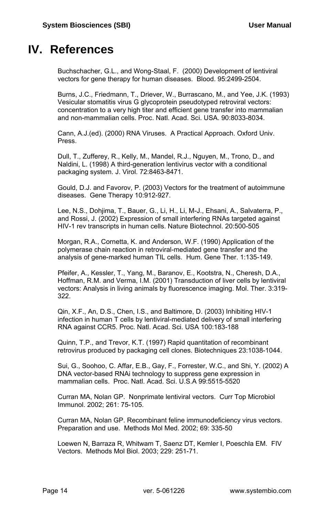## **IV. References**

Buchschacher, G.L., and Wong-Staal, F. (2000) Development of lentiviral vectors for gene therapy for human diseases. Blood. 95:2499-2504.

Burns, J.C., Friedmann, T., Driever, W., Burrascano, M., and Yee, J.K. (1993) Vesicular stomatitis virus G glycoprotein pseudotyped retroviral vectors: concentration to a very high titer and efficient gene transfer into mammalian and non-mammalian cells. Proc. Natl. Acad. Sci. USA. 90:8033-8034.

Cann, A.J.(ed). (2000) RNA Viruses. A Practical Approach. Oxford Univ. Press.

Dull, T., Zufferey, R., Kelly, M., Mandel, R.J., Nguyen, M., Trono, D., and Naldini, L. (1998) A third-generation lentivirus vector with a conditional packaging system. J. Virol. 72:8463-8471.

Gould, D.J. and Favorov, P. (2003) Vectors for the treatment of autoimmune diseases. Gene Therapy 10:912-927.

Lee, N.S., Dohjima, T., Bauer, G., Li, H., Li, M-J., Ehsani, A., Salvaterra, P., and Rossi, J. (2002) Expression of small interfering RNAs targeted against HIV-1 rev transcripts in human cells. Nature Biotechnol. 20:500-505

Morgan, R.A., Cornetta, K. and Anderson, W.F. (1990) Application of the polymerase chain reaction in retroviral-mediated gene transfer and the analysis of gene-marked human TIL cells. Hum. Gene Ther. 1:135-149.

Pfeifer, A., Kessler, T., Yang, M., Baranov, E., Kootstra, N., Cheresh, D.A., Hoffman, R.M. and Verma, I.M. (2001) Transduction of liver cells by lentiviral vectors: Analysis in living animals by fluorescence imaging. Mol. Ther. 3:319- 322.

Qin, X.F., An, D.S., Chen, I.S., and Baltimore, D. (2003) Inhibiting HIV-1 infection in human T cells by lentiviral-mediated delivery of small interfering RNA against CCR5. Proc. Natl. Acad. Sci. USA 100:183-188

Quinn, T.P., and Trevor, K.T. (1997) Rapid quantitation of recombinant retrovirus produced by packaging cell clones. Biotechniques 23:1038-1044.

Sui, G., Soohoo, C. Affar, E.B., Gay, F., Forrester, W.C., and Shi, Y. (2002) A DNA vector-based RNAi technology to suppress gene expression in mammalian cells. Proc. Natl. Acad. Sci. U.S.A 99:5515-5520

Curran MA, Nolan GP. Nonprimate lentiviral vectors. Curr Top Microbiol Immunol. 2002; 261: 75-105.

Curran MA, Nolan GP. Recombinant feline immunodeficiency virus vectors. Preparation and use. Methods Mol Med. 2002; 69: 335-50

Loewen N, Barraza R, Whitwam T, Saenz DT, Kemler I, Poeschla EM. FIV Vectors. Methods Mol Biol. 2003; 229: 251-71.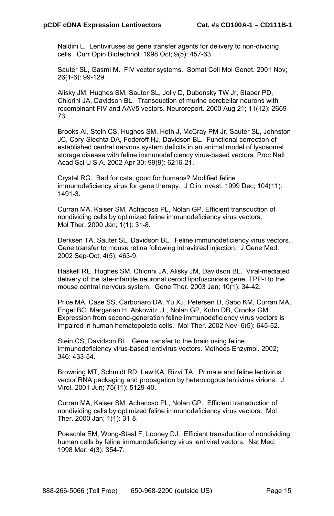Naldini L. Lentiviruses as gene transfer agents for delivery to non-dividing cells. Curr Opin Biotechnol. 1998 Oct; 9(5): 457-63.

Sauter SL, Gasmi M. FIV vector systems. Somat Cell Mol Genet. 2001 Nov; 26(1-6): 99-129.

Alisky JM, Hughes SM, Sauter SL, Jolly D, Dubensky TW Jr, Staber PD, Chiorini JA, Davidson BL. Transduction of murine cerebellar neurons with recombinant FIV and AAV5 vectors. Neuroreport. 2000 Aug 21; 11(12): 2669- 73.

Brooks AI, Stein CS, Hughes SM, Heth J, McCray PM Jr, Sauter SL, Johnston JC, Cory-Slechta DA, Federoff HJ, Davidson BL. Functional correction of established central nervous system deficits in an animal model of lysosomal storage disease with feline immunodeficiency virus-based vectors. Proc Natl Acad Sci U S A. 2002 Apr 30; 99(9): 6216-21.

Crystal RG. Bad for cats, good for humans? Modified feline immunodeficiency virus for gene therapy. J Clin Invest. 1999 Dec; 104(11): 1491-3.

Curran MA, Kaiser SM, Achacoso PL, Nolan GP. Efficient transduction of nondividing cells by optimized feline immunodeficiency virus vectors. Mol Ther. 2000 Jan; 1(1): 31-8.

Derksen TA, Sauter SL, Davidson BL. Feline immunodeficiency virus vectors. Gene transfer to mouse retina following intravitreal injection. J Gene Med. 2002 Sep-Oct; 4(5): 463-9.

Haskell RE, Hughes SM, Chiorini JA, Alisky JM, Davidson BL. Viral-mediated delivery of the late-infantile neuronal ceroid lipofuscinosis gene, TPP-I to the mouse central nervous system. Gene Ther. 2003 Jan; 10(1): 34-42.

Price MA, Case SS, Carbonaro DA, Yu XJ, Petersen D, Sabo KM, Curran MA, Engel BC, Margarian H, Abkowitz JL, Nolan GP, Kohn DB, Crooks GM. Expression from second-generation feline immunodeficiency virus vectors is impaired in human hematopoietic cells. Mol Ther. 2002 Nov; 6(5): 645-52.

Stein CS, Davidson BL. Gene transfer to the brain using feline immunodeficiency virus-based lentivirus vectors. Methods Enzymol. 2002; 346: 433-54.

Browning MT, Schmidt RD, Lew KA, Rizvi TA. Primate and feline lentivirus vector RNA packaging and propagation by heterologous lentivirus virions. J Virol. 2001 Jun; 75(11): 5129-40.

Curran MA, Kaiser SM, Achacoso PL, Nolan GP. Efficient transduction of nondividing cells by optimized feline immunodeficiency virus vectors. Mol Ther. 2000 Jan; 1(1): 31-8.

Poeschla EM, Wong-Staal F, Looney DJ. Efficient transduction of nondividing human cells by feline immunodeficiency virus lentiviral vectors. Nat Med. 1998 Mar; 4(3): 354-7.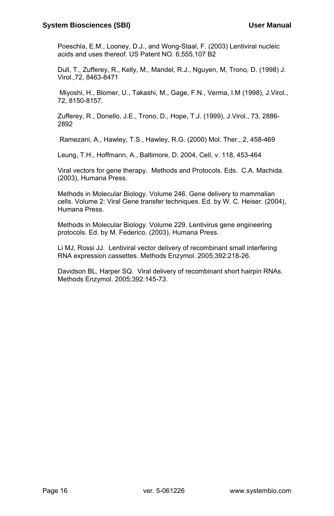Poeschla, E.M., Looney, D.J., and Wong-Staal, F. (2003) Lentiviral nucleic acids and uses thereof. US Patent NO. 6,555,107 B2

Dull, T., Zufferey, R., Kelly, M., Mandel, R.J., Nguyen, M, Trono, D. (1998) J. Virol.,72, 8463-8471

 Miyoshi, H., Blomer, U., Takashi, M., Gage, F.N., Verma, I.M (1998), J.Virol., 72, 8150-8157.

Zufferey, R., Donello, J.E., Trono, D., Hope, T.J. (1999), J.Virol., 73, 2886- 2892

Ramezani, A., Hawley, T.S., Hawley, R.G. (2000) Mol. Ther., 2, 458-469

Leung, T.H., Hoffmann, A., Baltimore, D. 2004, Cell, v. 118, 453-464

Viral vectors for gene therapy. Methods and Protocols. Eds. C.A. Machida. (2003), Humana Press.

Methods in Molecular Biology. Volume 246. Gene delivery to mammalian cells. Volume 2: Viral Gene transfer techniques. Ed. by W. C. Heiser. (2004), Humana Press.

Methods in Molecular Biology. Volume 229. Lentivirus gene engineering protocols. Ed. by M. Federico. (2003), Humana Press.

Li MJ, Rossi JJ. Lentiviral vector delivery of recombinant small interfering RNA expression cassettes. Methods Enzymol. 2005;392:218-26.

Davidson BL, Harper SQ. Viral delivery of recombinant short hairpin RNAs. Methods Enzymol. 2005;392:145-73.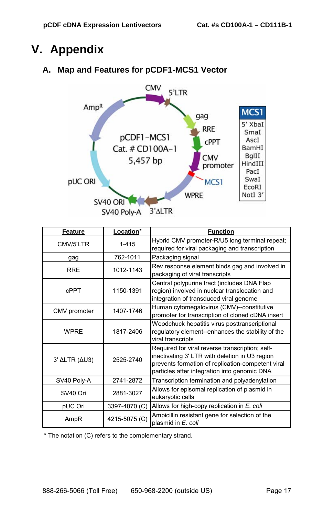## **V. Appendix**

## **A. Map and Features for pCDF1-MCS1 Vector**



| Feature       | Location*     | <b>Function</b>                                                                                                                                                                                        |
|---------------|---------------|--------------------------------------------------------------------------------------------------------------------------------------------------------------------------------------------------------|
| CMV/5'LTR     | 1-415         | Hybrid CMV promoter-R/U5 long terminal repeat;<br>required for viral packaging and transcription                                                                                                       |
| gag           | 762-1011      | Packaging signal                                                                                                                                                                                       |
| <b>RRE</b>    | 1012-1143     | Rev response element binds gag and involved in<br>packaging of viral transcripts                                                                                                                       |
| <b>CPPT</b>   | 1150-1391     | Central polypurine tract (includes DNA Flap<br>region) involved in nuclear translocation and<br>integration of transduced viral genome                                                                 |
| CMV promoter  | 1407-1746     | Human cytomegalovirus (CMV)--constitutive<br>promoter for transcription of cloned cDNA insert                                                                                                          |
| <b>WPRF</b>   | 1817-2406     | Woodchuck hepatitis virus posttranscriptional<br>regulatory element--enhances the stability of the<br>viral transcripts                                                                                |
| 3' ΔLTR (ΔU3) | 2525-2740     | Required for viral reverse transcription; self-<br>inactivating 3' LTR with deletion in U3 region<br>prevents formation of replication-competent viral<br>particles after integration into genomic DNA |
| SV40 Poly-A   | 2741-2872     | Transcription termination and polyadenylation                                                                                                                                                          |
| SV40 Ori      | 2881-3027     | Allows for episomal replication of plasmid in<br>eukaryotic cells                                                                                                                                      |
| pUC Ori       | 3397-4070 (C) | Allows for high-copy replication in E. coli                                                                                                                                                            |
| AmpR          | 4215-5075 (C) | Ampicillin resistant gene for selection of the<br>plasmid in E. coli                                                                                                                                   |

\* The notation (C) refers to the complementary strand.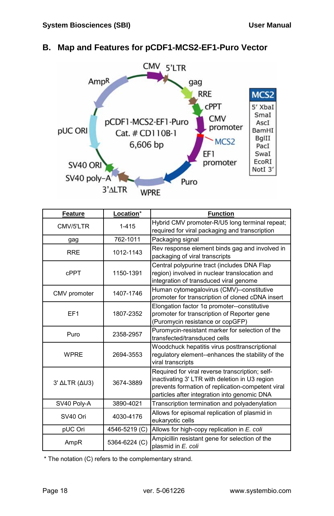## **B. Map and Features for pCDF1-MCS2-EF1-Puro Vector**



| Feature         | Location*     | <b>Function</b>                                                                                                                                                                                        |
|-----------------|---------------|--------------------------------------------------------------------------------------------------------------------------------------------------------------------------------------------------------|
| CMV/5'LTR       | $1 - 415$     | Hybrid CMV promoter-R/U5 long terminal repeat;<br>required for viral packaging and transcription                                                                                                       |
| gag             | 762-1011      | Packaging signal                                                                                                                                                                                       |
| <b>RRE</b>      | 1012-1143     | Rev response element binds gag and involved in<br>packaging of viral transcripts                                                                                                                       |
| <b>CPPT</b>     | 1150-1391     | Central polypurine tract (includes DNA Flap<br>region) involved in nuclear translocation and<br>integration of transduced viral genome                                                                 |
| CMV promoter    | 1407-1746     | Human cytomegalovirus (CMV)--constitutive<br>promoter for transcription of cloned cDNA insert                                                                                                          |
| EF <sub>1</sub> | 1807-2352     | Elongation factor $1\alpha$ promoter--constitutive<br>promoter for transcription of Reporter gene<br>(Puromycin resistance or copGFP)                                                                  |
| Puro            | 2358-2957     | Puromycin-resistant marker for selection of the<br>transfected/transduced cells                                                                                                                        |
| <b>WPRF</b>     | 2694-3553     | Woodchuck hepatitis virus posttranscriptional<br>regulatory element--enhances the stability of the<br>viral transcripts                                                                                |
| 3' ΔLTR (ΔU3)   | 3674-3889     | Required for viral reverse transcription; self-<br>inactivating 3' LTR with deletion in U3 region<br>prevents formation of replication-competent viral<br>particles after integration into genomic DNA |
| SV40 Poly-A     | 3890-4021     | Transcription termination and polyadenylation                                                                                                                                                          |
| SV40 Ori        | 4030-4176     | Allows for episomal replication of plasmid in<br>eukaryotic cells                                                                                                                                      |
| pUC Ori         | 4546-5219 (C) | Allows for high-copy replication in E. coli                                                                                                                                                            |
| AmpR            | 5364-6224 (C) | Ampicillin resistant gene for selection of the<br>plasmid in E. coli                                                                                                                                   |

\* The notation (C) refers to the complementary strand.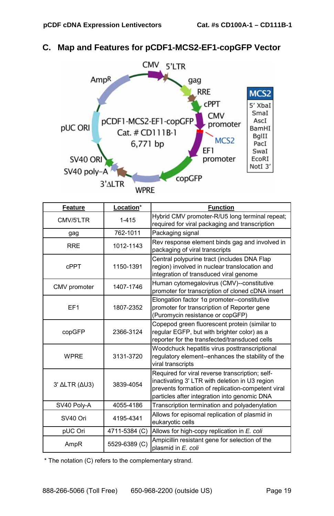## **C. Map and Features for pCDF1-MCS2-EF1-copGFP Vector**



| <b>Feature</b>  | Location*     | <b>Function</b>                                                                                                                                                                                        |
|-----------------|---------------|--------------------------------------------------------------------------------------------------------------------------------------------------------------------------------------------------------|
| CMV/5'LTR       | 1-415         | Hybrid CMV promoter-R/U5 long terminal repeat;<br>required for viral packaging and transcription                                                                                                       |
| gag             | 762-1011      | Packaging signal                                                                                                                                                                                       |
| <b>RRE</b>      | 1012-1143     | Rev response element binds gag and involved in<br>packaging of viral transcripts                                                                                                                       |
| <b>CPPT</b>     | 1150-1391     | Central polypurine tract (includes DNA Flap<br>region) involved in nuclear translocation and<br>integration of transduced viral genome                                                                 |
| CMV promoter    | 1407-1746     | Human cytomegalovirus (CMV)--constitutive<br>promoter for transcription of cloned cDNA insert                                                                                                          |
| EF <sub>1</sub> | 1807-2352     | Elongation factor $1\alpha$ promoter--constitutive<br>promoter for transcription of Reporter gene<br>(Puromycin resistance or copGFP)                                                                  |
| copGFP          | 2366-3124     | Copepod green fluorescent protein (similar to<br>regular EGFP, but with brighter color) as a<br>reporter for the transfected/transduced cells                                                          |
| <b>WPRF</b>     | 3131-3720     | Woodchuck hepatitis virus posttranscriptional<br>regulatory element--enhances the stability of the<br>viral transcripts                                                                                |
| 3' ΔLTR (ΔU3)   | 3839-4054     | Required for viral reverse transcription; self-<br>inactivating 3' LTR with deletion in U3 region<br>prevents formation of replication-competent viral<br>particles after integration into genomic DNA |
| SV40 Poly-A     | 4055-4186     | Transcription termination and polyadenylation                                                                                                                                                          |
| SV40 Ori        | 4195-4341     | Allows for episomal replication of plasmid in<br>eukaryotic cells                                                                                                                                      |
| pUC Ori         | 4711-5384 (C) | Allows for high-copy replication in E. coli                                                                                                                                                            |
| AmpR            | 5529-6389 (C) | Ampicillin resistant gene for selection of the<br>plasmid in E. coli                                                                                                                                   |

\* The notation (C) refers to the complementary strand.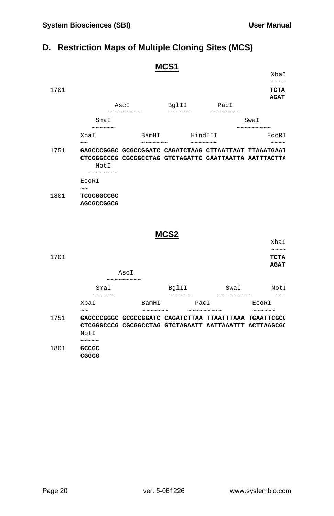## **D. Restriction Maps of Multiple Cloning Sites (MCS)**

|              |                                                               |          |                                             |                                                                                                                  | XbaI                                                                           |
|--------------|---------------------------------------------------------------|----------|---------------------------------------------|------------------------------------------------------------------------------------------------------------------|--------------------------------------------------------------------------------|
|              |                                                               |          |                                             |                                                                                                                  | $\sim$ $\sim$ $\sim$ $\sim$                                                    |
| 1701         |                                                               |          |                                             |                                                                                                                  | <b>TCTA</b><br><b>AGAT</b>                                                     |
|              |                                                               | AscI     | BglII<br>$\sim$ $\sim$ $\sim$ $\sim$ $\sim$ | PacI                                                                                                             |                                                                                |
|              | SmaI                                                          | ~~~~~~~~ |                                             | $\mathcal{N} \mathcal{N} \mathcal{N} \mathcal{N} \mathcal{N} \mathcal{N} \mathcal{N} \mathcal{N} \mathcal{N}$    | SwaI                                                                           |
|              | $\sim$ $\sim$ $\sim$ $\sim$ $\sim$<br>XbaI                    |          | BamHI HindIII                               |                                                                                                                  | ~~~~~~~~~<br>ECORI                                                             |
|              | $\sim$ $\sim$                                                 |          |                                             |                                                                                                                  | $\sim \sim \sim \sim$                                                          |
| 1751         | Not I<br>~~~~~~~~<br>ECORI                                    |          |                                             | GAGCCCGGGC GCGCCGGATC CAGATCTAAG CTTAATTAAT TTAAATGAAI<br>CTCGGGCCCG CGCGGCCTAG GTCTAGATTC GAATTAATTA AATTTACTTA |                                                                                |
| 1801         | $\sim$ $\sim$<br>TCGCGGCCGC<br>AGCGCCGGCG                     |          |                                             |                                                                                                                  |                                                                                |
|              |                                                               |          | MCS:                                        |                                                                                                                  |                                                                                |
|              |                                                               |          |                                             |                                                                                                                  | XbaI                                                                           |
|              |                                                               |          |                                             |                                                                                                                  | $\sim\sim\ \sim\ \sim$                                                         |
| 1701         |                                                               |          |                                             |                                                                                                                  | <b>TCTA</b>                                                                    |
|              |                                                               |          |                                             |                                                                                                                  | <b>AGAT</b>                                                                    |
|              |                                                               | AscI     |                                             |                                                                                                                  |                                                                                |
|              |                                                               | ~~~~~~~~ | BqlII                                       |                                                                                                                  |                                                                                |
|              | SmaI<br>$\sim$ $\sim$ $\sim$ $\sim$ $\sim$                    |          | $\sim$ $\sim$ $\sim$ $\sim$                 |                                                                                                                  | SwaI NotI<br>$\sim$ $\sim$ $\sim$ $\sim$ $\sim$ $\sim$<br>$\sim$ $\sim$ $\sim$ |
|              | Xba I                                                         | BamHI    | PacI                                        | $\sim$ $\sim$ $\sim$ $\sim$ $\sim$ $\sim$ $\sim$                                                                 | ECORI<br>$\sim$ $\sim$ $\sim$ $\sim$ $\sim$                                    |
| 1751<br>1801 | $\sim$ $\sim$<br>NotI<br>$\sim$ $\sim$ $\sim$ $\sim$<br>GCCGC |          |                                             | GAGCCCGGGC GCGCCGGATC CAGATCTTAA TTAATTTAAA TGAATTCGCC<br>CTCGGGCCCG CGCGGCCTAG GTCTAGAATT AATTAAATTT ACTTAAGCGC |                                                                                |

**CGGCG**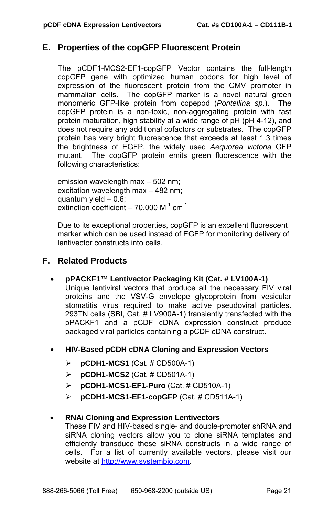### **E. Properties of the copGFP Fluorescent Protein**

The pCDF1-MCS2-EF1-copGFP Vector contains the full-length copGFP gene with optimized human codons for high level of expression of the fluorescent protein from the CMV promoter in mammalian cells. The copGFP marker is a novel natural green monomeric GFP-like protein from copepod (*Pontellina sp*.). The copGFP protein is a non-toxic, non-aggregating protein with fast protein maturation, high stability at a wide range of pH (pH 4-12), and does not require any additional cofactors or substrates. The copGFP protein has very bright fluorescence that exceeds at least 1.3 times the brightness of EGFP, the widely used *Aequorea victoria* GFP mutant. The copGFP protein emits green fluorescence with the following characteristics:

emission wavelength max – 502 nm; excitation wavelength max – 482 nm; quantum yield  $-0.\overline{6}$ ; extinction coefficient – 70,000  $M^{-1}$  cm<sup>-1</sup>

Due to its exceptional properties, copGFP is an excellent fluorescent marker which can be used instead of EGFP for monitoring delivery of lentivector constructs into cells.

## **F. Related Products**

• **pPACKF1™ Lentivector Packaging Kit (Cat. # LV100A-1)** 

Unique lentiviral vectors that produce all the necessary FIV viral proteins and the VSV-G envelope glycoprotein from vesicular stomatitis virus required to make active pseudoviral particles. 293TN cells (SBI, Cat. # LV900A-1) transiently transfected with the pPACKF1 and a pCDF cDNA expression construct produce packaged viral particles containing a pCDF cDNA construct.

- **HIV-Based pCDH cDNA Cloning and Expression Vectors** 
	- ¾ **pCDH1-MCS1** (Cat. # CD500A-1)
	- ¾ **pCDH1-MCS2** (Cat. # CD501A-1)
	- ¾ **pCDH1-MCS1-EF1-Puro** (Cat. # CD510A-1)
	- ¾ **pCDH1-MCS1-EF1-copGFP** (Cat. # CD511A-1)

#### • **RNAi Cloning and Expression Lentivectors**

These FIV and HIV-based single- and double-promoter shRNA and siRNA cloning vectors allow you to clone siRNA templates and efficiently transduce these siRNA constructs in a wide range of cells. For a list of currently available vectors, please visit our website at [http://www.systembio.com.](http://www.systembio.com/)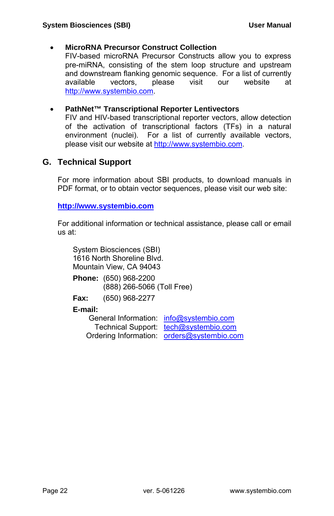#### • **MicroRNA Precursor Construct Collection**

FIV-based microRNA Precursor Constructs allow you to express pre-miRNA, consisting of the stem loop structure and upstream and downstream flanking genomic sequence. For a list of currently available vectors, please visit our website at [http://www.systembio.com.](http://www.systembio.com/)

#### • **PathNet™ Transcriptional Reporter Lentivectors**

FIV and HIV-based transcriptional reporter vectors, allow detection of the activation of transcriptional factors (TFs) in a natural environment (nuclei). For a list of currently available vectors, please visit our website at [http://www.systembio.com](http://www.systembio.com/).

### **G. Technical Support**

For more information about SBI products, to download manuals in PDF format, or to obtain vector sequences, please visit our web site:

**[http://www.systembio.com](http://www.systembio.com/)**

For additional information or technical assistance, please call or email us at:

System Biosciences (SBI) 1616 North Shoreline Blvd. Mountain View, CA 94043

|      | <b>Phone:</b> (650) 968-2200 |
|------|------------------------------|
|      | (888) 266-5066 (Toll Free)   |
| Fax: | (650) 968-2277               |
|      |                              |

#### **E-mail:**

| General Information: info@systembio.com    |  |
|--------------------------------------------|--|
| Technical Support: tech@systembio.com      |  |
| Ordering Information: orders@systembio.com |  |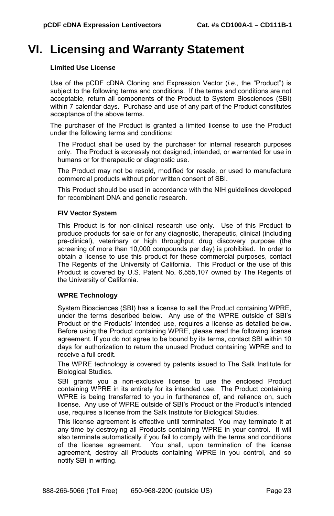## **VI. Licensing and Warranty Statement**

#### **Limited Use License**

Use of the pCDF cDNA Cloning and Expression Vector (*i.e.*, the "Product") is subject to the following terms and conditions. If the terms and conditions are not acceptable, return all components of the Product to System Biosciences (SBI) within 7 calendar days. Purchase and use of any part of the Product constitutes acceptance of the above terms.

The purchaser of the Product is granted a limited license to use the Product under the following terms and conditions:

The Product shall be used by the purchaser for internal research purposes only. The Product is expressly not designed, intended, or warranted for use in humans or for therapeutic or diagnostic use.

The Product may not be resold, modified for resale, or used to manufacture commercial products without prior written consent of SBI.

This Product should be used in accordance with the NIH guidelines developed for recombinant DNA and genetic research.

#### **FIV Vector System**

This Product is for non-clinical research use only. Use of this Product to produce products for sale or for any diagnostic, therapeutic, clinical (including pre-clinical), veterinary or high throughput drug discovery purpose (the screening of more than 10,000 compounds per day) is prohibited. In order to obtain a license to use this product for these commercial purposes, contact The Regents of the University of California. This Product or the use of this Product is covered by U.S. Patent No. 6,555,107 owned by The Regents of the University of California.

#### **WPRE Technology**

System Biosciences (SBI) has a license to sell the Product containing WPRE, under the terms described below. Any use of the WPRE outside of SBI's Product or the Products' intended use, requires a license as detailed below. Before using the Product containing WPRE, please read the following license agreement. If you do not agree to be bound by its terms, contact SBI within 10 days for authorization to return the unused Product containing WPRE and to receive a full credit.

The WPRE technology is covered by patents issued to The Salk Institute for Biological Studies.

SBI grants you a non-exclusive license to use the enclosed Product containing WPRE in its entirety for its intended use. The Product containing WPRE is being transferred to you in furtherance of, and reliance on, such license. Any use of WPRE outside of SBI's Product or the Product's intended use, requires a license from the Salk Institute for Biological Studies.

This license agreement is effective until terminated. You may terminate it at any time by destroying all Products containing WPRE in your control. It will also terminate automatically if you fail to comply with the terms and conditions of the license agreement. You shall, upon termination of the license agreement, destroy all Products containing WPRE in you control, and so notify SBI in writing.